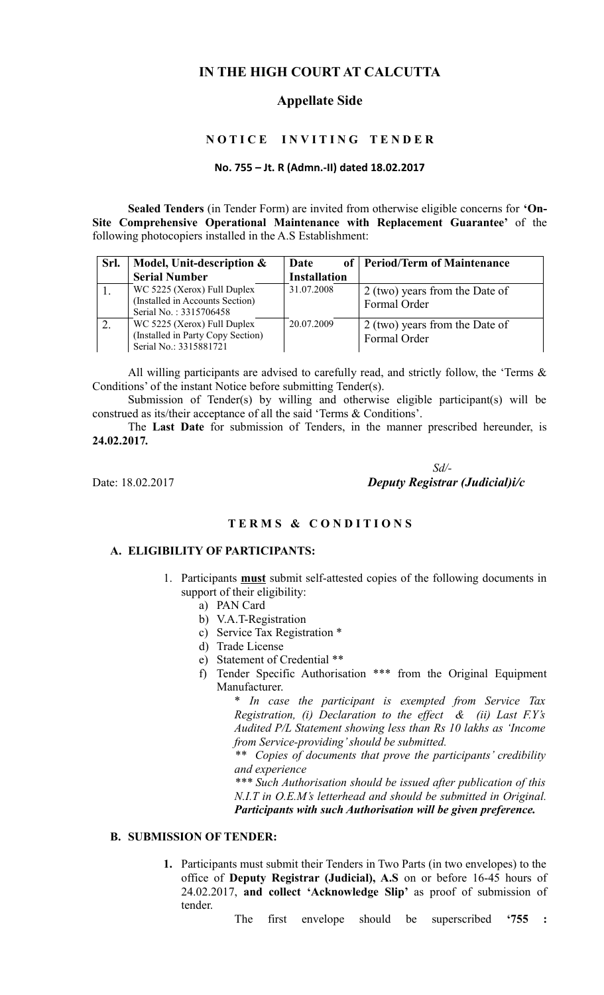# **IN THE HIGH COURT AT CALCUTTA**

## **Appellate Side**

### **N O T I C E I N V I T I N G T E N D E R**

#### **No. 755 – Jt. R (Admn.-II) dated 18.02.2017**

**Sealed Tenders** (in Tender Form) are invited from otherwise eligible concerns for **'On-Site Comprehensive Operational Maintenance with Replacement Guarantee'** of the following photocopiers installed in the A.S Establishment:

| Srl. | Model, Unit-description &                                                                  | Date                | of Period/Term of Maintenance                  |
|------|--------------------------------------------------------------------------------------------|---------------------|------------------------------------------------|
|      | <b>Serial Number</b>                                                                       | <b>Installation</b> |                                                |
|      | WC 5225 (Xerox) Full Duplex<br>(Installed in Accounts Section)<br>Serial No.: 3315706458   | 31.07.2008          | 2 (two) years from the Date of<br>Formal Order |
|      | WC 5225 (Xerox) Full Duplex<br>(Installed in Party Copy Section)<br>Serial No.: 3315881721 | 20.07.2009          | 2 (two) years from the Date of<br>Formal Order |

All willing participants are advised to carefully read, and strictly follow, the 'Terms & Conditions' of the instant Notice before submitting Tender(s).

Submission of Tender(s) by willing and otherwise eligible participant(s) will be construed as its/their acceptance of all the said 'Terms & Conditions'.

The **Last Date** for submission of Tenders, in the manner prescribed hereunder, is **24.02.2017***.*

 *Sd/-* Date: 18.02.2017 *Deputy Registrar (Judicial)i/c*

# **T E R M S & C O N D I T I O N S**

## **A. ELIGIBILITY OF PARTICIPANTS:**

- 1. Participants **must** submit self-attested copies of the following documents in support of their eligibility:
	- a) PAN Card
	- b) V.A.T-Registration
	- c) Service Tax Registration \*
	- d) Trade License
	- e) Statement of Credential \*\*
	- f) Tender Specific Authorisation \*\*\* from the Original Equipment Manufacturer.

\* *In case the participant is exempted from Service Tax Registration, (i) Declaration to the effect & (ii) Last F.Y's Audited P/L Statement showing less than Rs 10 lakhs as 'Income from Service-providing' should be submitted.*

*\*\* Copies of documents that prove the participants' credibility and experience*

*\*\*\* Such Authorisation should be issued after publication of this N.I.T in O.E.M's letterhead and should be submitted in Original. Participants with such Authorisation will be given preference.*

### **B. SUBMISSION OF TENDER:**

**1.** Participants must submit their Tenders in Two Parts (in two envelopes) to the office of **Deputy Registrar (Judicial), A.S** on or before 16-45 hours of 24.02.2017, **and collect 'Acknowledge Slip'** as proof of submission of tender.

The first envelope should be superscribed **'755 :**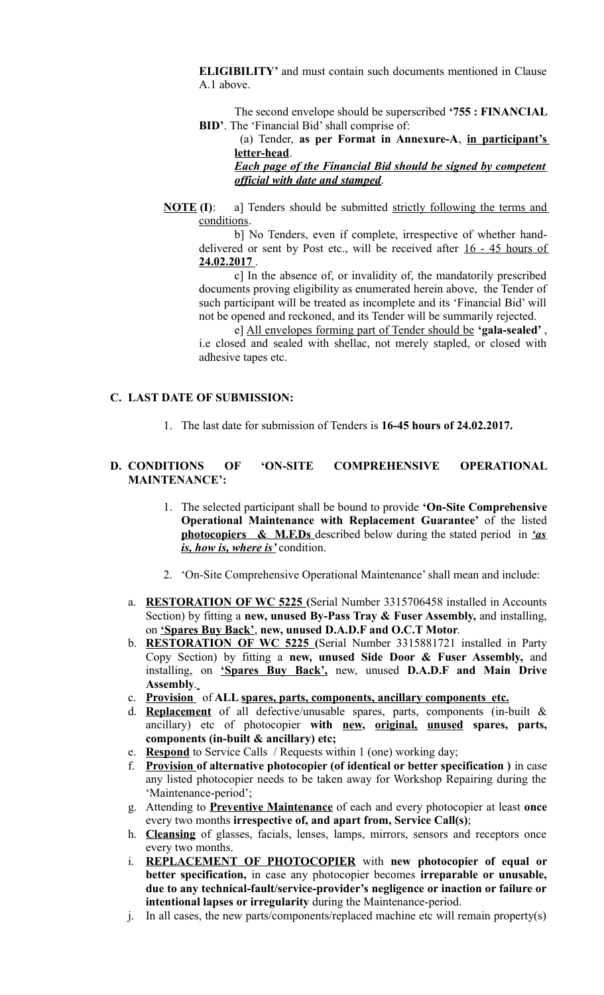**ELIGIBILITY'** and must contain such documents mentioned in Clause A.1 above.

The second envelope should be superscribed **'755 : FINANCIAL BID'**. The 'Financial Bid' shall comprise of:

 (a) Tender, **as per Format in Annexure-A**, **in participant's letter-head**.

*Each page of the Financial Bid should be signed by competent official with date and stamped*.

**NOTE** (I): a] Tenders should be submitted strictly following the terms and conditions.

b] No Tenders, even if complete, irrespective of whether handdelivered or sent by Post etc., will be received after 16 - 45 hours of  **24.02.2017** .

c] In the absence of, or invalidity of, the mandatorily prescribed documents proving eligibility as enumerated herein above, the Tender of such participant will be treated as incomplete and its 'Financial Bid' will not be opened and reckoned, and its Tender will be summarily rejected.

e] All envelopes forming part of Tender should be **'gala-sealed'** ,

i.e closed and sealed with shellac, not merely stapled, or closed with adhesive tapes etc.

#### **C. LAST DATE OF SUBMISSION:**

1. The last date for submission of Tenders is **16-45 hours of 24.02.2017.** 

### **D. CONDITIONS OF 'ON-SITE COMPREHENSIVE OPERATIONAL MAINTENANCE':**

- 1. The selected participant shall be bound to provide **'On-Site Comprehensive Operational Maintenance with Replacement Guarantee'** of the listed **photocopiers & M.F.Ds** described below during the stated period in *'as is, how is, where is'* condition.
- 2. 'On-Site Comprehensive Operational Maintenance' shall mean and include:
- a. **RESTORATION OF WC 5225 (**Serial Number 3315706458 installed in Accounts Section) by fitting a **new, unused By-Pass Tray & Fuser Assembly,** and installing, on **'Spares Buy Back'**, **new, unused D.A.D.F and O.C.T Motor**.
- b. **RESTORATION OF WC 5225 (**Serial Number 3315881721 installed in Party Copy Section) by fitting a **new, unused Side Door & Fuser Assembly,** and installing, on **'Spares Buy Back',** new, unused **D.A.D.F and Main Drive Assembly**.
- c. **Provision** of **ALL spares, parts, components, ancillary components etc.**
- d. **Replacement** of all defective/unusable spares, parts, components (in-built & ancillary) etc of photocopier **with new, original, unused spares, parts, components (in-built & ancillary) etc;**
- e. **Respond** to Service Calls / Requests within 1 (one) working day;
- f. **Provision of alternative photocopier (of identical or better specification )** in case any listed photocopier needs to be taken away for Workshop Repairing during the 'Maintenance-period';
- g. Attending to **Preventive Maintenance** of each and every photocopier at least **once** every two months **irrespective of, and apart from, Service Call(s)**;
- h. **Cleansing** of glasses, facials, lenses, lamps, mirrors, sensors and receptors once every two months.
- i. **REPLACEMENT OF PHOTOCOPIER** with **new photocopier of equal or better specification,** in case any photocopier becomes **irreparable or unusable, due to any technical-fault/service-provider's negligence or inaction or failure or intentional lapses or irregularity** during the Maintenance-period.
- j. In all cases, the new parts/components/replaced machine etc will remain property(s)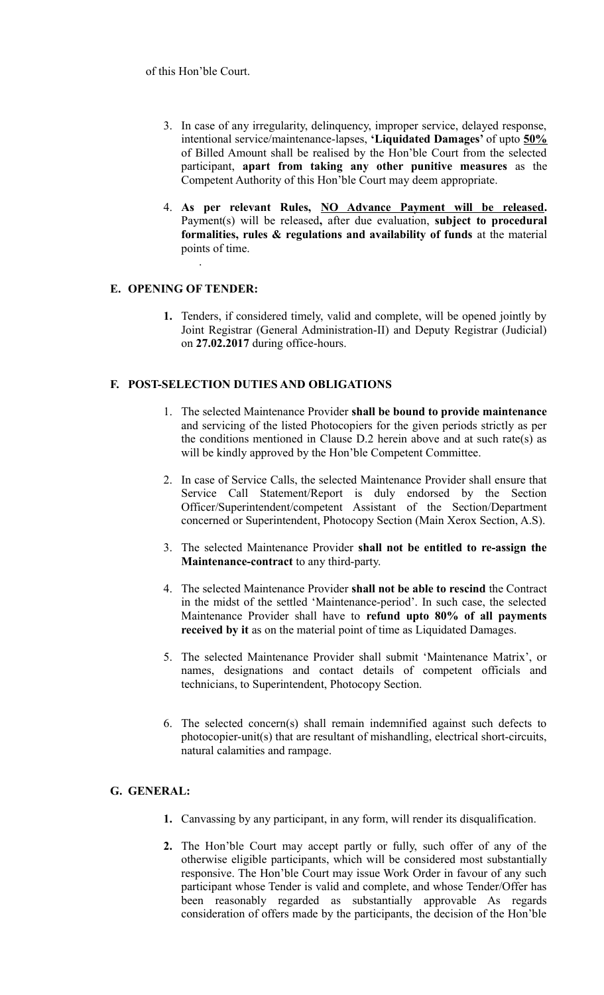- 3. In case of any irregularity, delinquency, improper service, delayed response, intentional service/maintenance-lapses, **'Liquidated Damages'** of upto **50%** of Billed Amount shall be realised by the Hon'ble Court from the selected participant, **apart from taking any other punitive measures** as the Competent Authority of this Hon'ble Court may deem appropriate.
- 4. **As per relevant Rules, NO Advance Payment will be released.** Payment(s) will be released**,** after due evaluation, **subject to procedural formalities, rules & regulations and availability of funds** at the material points of time.

## **E. OPENING OF TENDER:**

.

**1.** Tenders, if considered timely, valid and complete, will be opened jointly by Joint Registrar (General Administration-II) and Deputy Registrar (Judicial) on **27.02.2017** during office-hours.

## **F. POST-SELECTION DUTIES AND OBLIGATIONS**

- 1. The selected Maintenance Provider **shall be bound to provide maintenance** and servicing of the listed Photocopiers for the given periods strictly as per the conditions mentioned in Clause D.2 herein above and at such rate(s) as will be kindly approved by the Hon'ble Competent Committee.
- 2. In case of Service Calls, the selected Maintenance Provider shall ensure that Service Call Statement/Report is duly endorsed by the Section Officer/Superintendent/competent Assistant of the Section/Department concerned or Superintendent, Photocopy Section (Main Xerox Section, A.S).
- 3. The selected Maintenance Provider **shall not be entitled to re-assign the Maintenance-contract** to any third-party.
- 4. The selected Maintenance Provider **shall not be able to rescind** the Contract in the midst of the settled 'Maintenance-period'. In such case, the selected Maintenance Provider shall have to **refund upto 80% of all payments received by it** as on the material point of time as Liquidated Damages.
- 5. The selected Maintenance Provider shall submit 'Maintenance Matrix', or names, designations and contact details of competent officials and technicians, to Superintendent, Photocopy Section.
- 6. The selected concern(s) shall remain indemnified against such defects to photocopier-unit(s) that are resultant of mishandling, electrical short-circuits, natural calamities and rampage.

# **G. GENERAL:**

- **1.** Canvassing by any participant, in any form, will render its disqualification.
- **2.** The Hon'ble Court may accept partly or fully, such offer of any of the otherwise eligible participants, which will be considered most substantially responsive. The Hon'ble Court may issue Work Order in favour of any such participant whose Tender is valid and complete, and whose Tender/Offer has been reasonably regarded as substantially approvable As regards consideration of offers made by the participants, the decision of the Hon'ble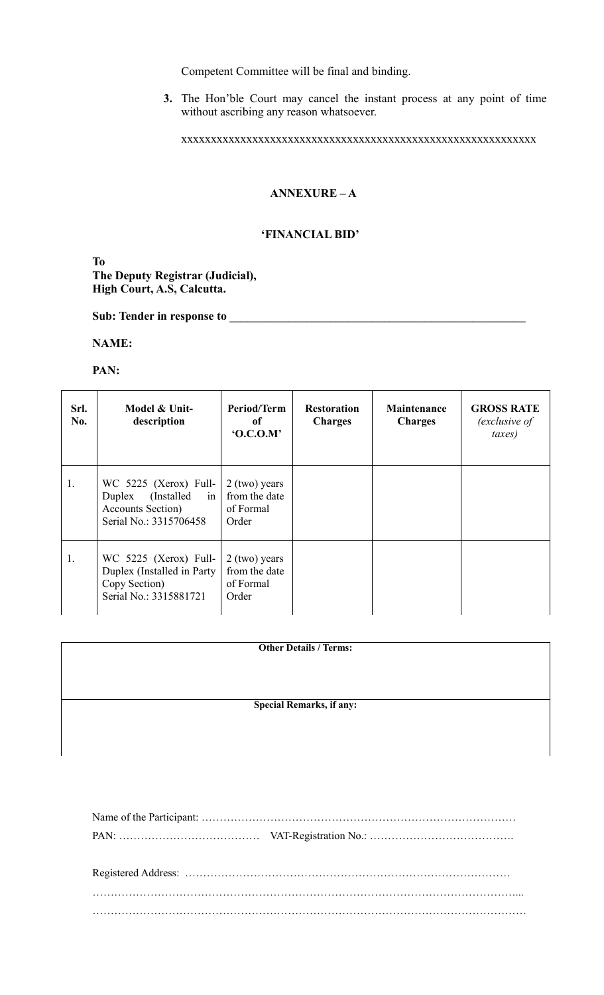Competent Committee will be final and binding.

**3.** The Hon'ble Court may cancel the instant process at any point of time without ascribing any reason whatsoever.

xxxxxxxxxxxxxxxxxxxxxxxxxxxxxxxxxxxxxxxxxxxxxxxxxxxxxxxxxxxx

# **ANNEXURE – A**

## **'FINANCIAL BID'**

**To The Deputy Registrar (Judicial), High Court, A.S, Calcutta.**

**Sub: Tender in response to \_\_\_\_\_\_\_\_\_\_\_\_\_\_\_\_\_\_\_\_\_\_\_\_\_\_\_\_\_\_\_\_\_\_\_\_\_\_\_\_\_\_\_\_\_\_\_\_\_\_**

**NAME:**

**PAN:**

| Srl.<br>No. | Model & Unit-<br>description                                                                                | <b>Period/Term</b><br>of<br>$0.000$ . M                | <b>Restoration</b><br><b>Charges</b> | <b>Maintenance</b><br><b>Charges</b> | <b>GROSS RATE</b><br>(exclusive of<br>taxes) |
|-------------|-------------------------------------------------------------------------------------------------------------|--------------------------------------------------------|--------------------------------------|--------------------------------------|----------------------------------------------|
| 1.          | WC 5225 (Xerox) Full-<br>(Installed)<br>Duplex<br>in<br><b>Accounts Section</b> )<br>Serial No.: 3315706458 | 2 (two) years<br>from the date<br>of Formal<br>Order   |                                      |                                      |                                              |
| 1.          | WC 5225 (Xerox) Full-<br>Duplex (Installed in Party)<br>Copy Section)<br>Serial No.: 3315881721             | $2$ (two) years<br>from the date<br>of Formal<br>Order |                                      |                                      |                                              |

| <b>Other Details / Terms:</b>   |  |
|---------------------------------|--|
|                                 |  |
|                                 |  |
|                                 |  |
|                                 |  |
|                                 |  |
|                                 |  |
| <b>Special Remarks, if any:</b> |  |
|                                 |  |
|                                 |  |
|                                 |  |
|                                 |  |
|                                 |  |
|                                 |  |